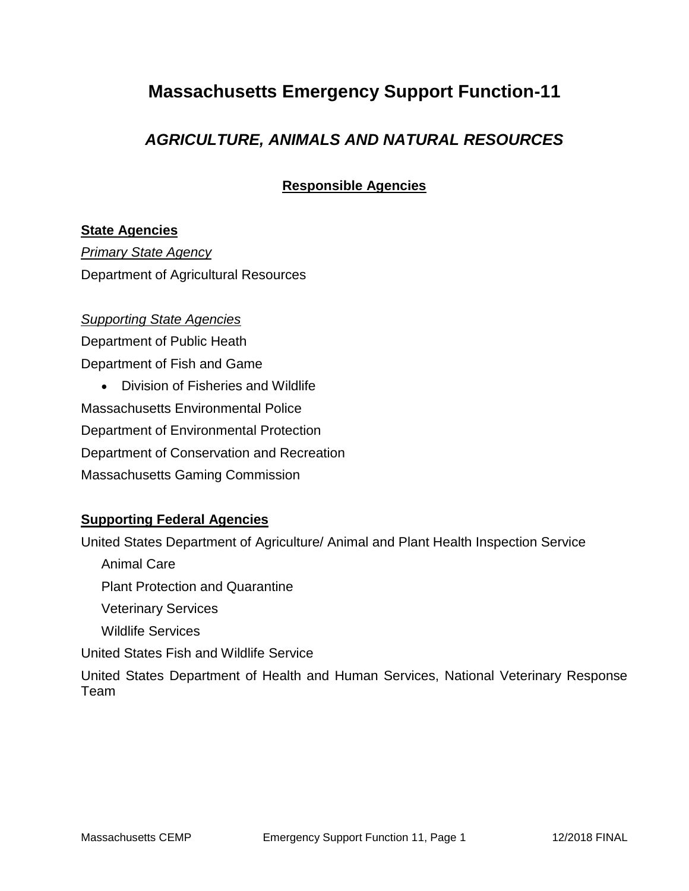## **Massachusetts Emergency Support Function-11**

### *AGRICULTURE, ANIMALS AND NATURAL RESOURCES*

**Responsible Agencies**

#### **State Agencies**

*Primary State Agency* Department of Agricultural Resources

#### *Supporting State Agencies*

Department of Public Heath Department of Fish and Game

 Division of Fisheries and Wildlife Massachusetts Environmental Police Department of Environmental Protection Department of Conservation and Recreation Massachusetts Gaming Commission

#### **Supporting Federal Agencies**

United States Department of Agriculture/ Animal and Plant Health Inspection Service Animal Care Plant Protection and Quarantine Veterinary Services Wildlife Services United States Fish and Wildlife Service United States Department of Health and Human Services, National Veterinary Response Team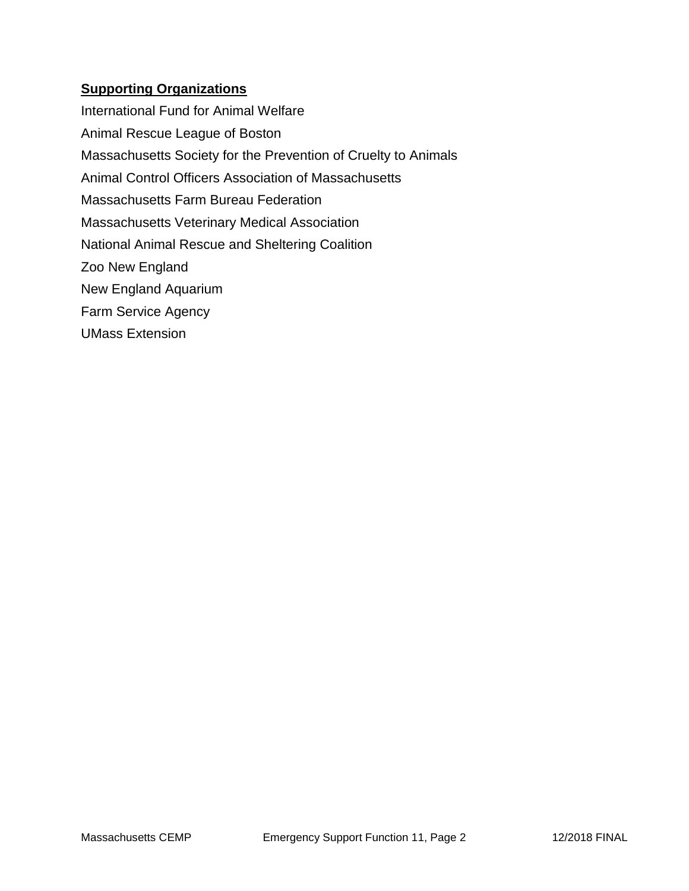#### **Supporting Organizations**

International Fund for Animal Welfare Animal Rescue League of Boston Massachusetts Society for the Prevention of Cruelty to Animals Animal Control Officers Association of Massachusetts Massachusetts Farm Bureau Federation Massachusetts Veterinary Medical Association National Animal Rescue and Sheltering Coalition Zoo New England New England Aquarium Farm Service Agency UMass Extension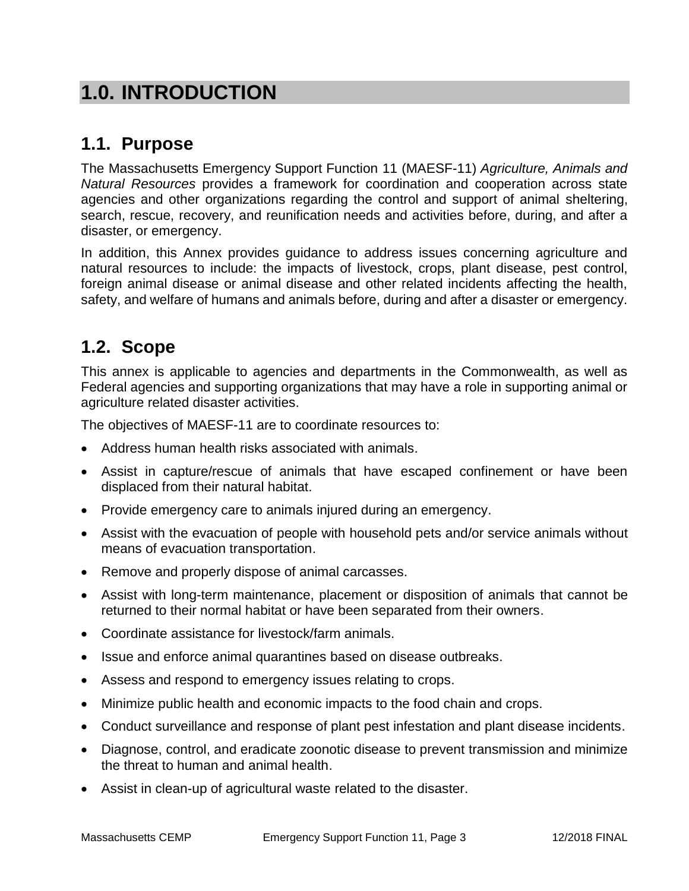# **1.0. INTRODUCTION**

## **1.1. Purpose**

The Massachusetts Emergency Support Function 11 (MAESF-11) *Agriculture, Animals and Natural Resources* provides a framework for coordination and cooperation across state agencies and other organizations regarding the control and support of animal sheltering, search, rescue, recovery, and reunification needs and activities before, during, and after a disaster, or emergency.

In addition, this Annex provides guidance to address issues concerning agriculture and natural resources to include: the impacts of livestock, crops, plant disease, pest control, foreign animal disease or animal disease and other related incidents affecting the health, safety, and welfare of humans and animals before, during and after a disaster or emergency.

## **1.2. Scope**

This annex is applicable to agencies and departments in the Commonwealth, as well as Federal agencies and supporting organizations that may have a role in supporting animal or agriculture related disaster activities.

The objectives of MAESF-11 are to coordinate resources to:

- Address human health risks associated with animals.
- Assist in capture/rescue of animals that have escaped confinement or have been displaced from their natural habitat.
- Provide emergency care to animals injured during an emergency.
- Assist with the evacuation of people with household pets and/or service animals without means of evacuation transportation.
- Remove and properly dispose of animal carcasses.
- Assist with long-term maintenance, placement or disposition of animals that cannot be returned to their normal habitat or have been separated from their owners.
- Coordinate assistance for livestock/farm animals.
- Issue and enforce animal quarantines based on disease outbreaks.
- Assess and respond to emergency issues relating to crops.
- Minimize public health and economic impacts to the food chain and crops.
- Conduct surveillance and response of plant pest infestation and plant disease incidents.
- Diagnose, control, and eradicate zoonotic disease to prevent transmission and minimize the threat to human and animal health.
- Assist in clean-up of agricultural waste related to the disaster.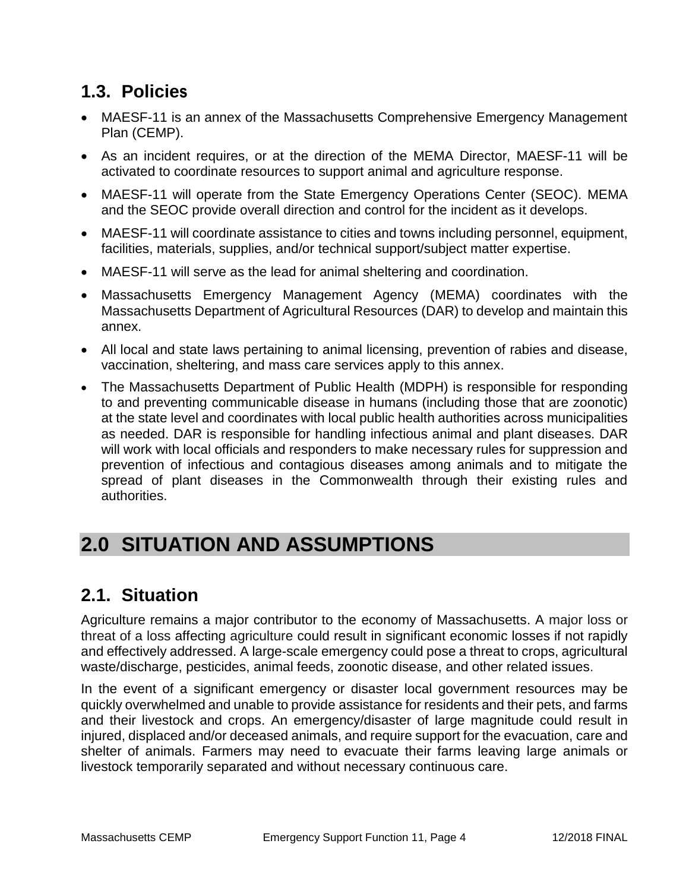# **1.3. Policies**

- MAESF-11 is an annex of the Massachusetts Comprehensive Emergency Management Plan (CEMP).
- As an incident requires, or at the direction of the MEMA Director, MAESF-11 will be activated to coordinate resources to support animal and agriculture response.
- MAESF-11 will operate from the State Emergency Operations Center (SEOC). MEMA and the SEOC provide overall direction and control for the incident as it develops.
- MAESF-11 will coordinate assistance to cities and towns including personnel, equipment, facilities, materials, supplies, and/or technical support/subject matter expertise.
- MAESF-11 will serve as the lead for animal sheltering and coordination.
- Massachusetts Emergency Management Agency (MEMA) coordinates with the Massachusetts Department of Agricultural Resources (DAR) to develop and maintain this annex.
- All local and state laws pertaining to animal licensing, prevention of rabies and disease, vaccination, sheltering, and mass care services apply to this annex.
- The Massachusetts Department of Public Health (MDPH) is responsible for responding to and preventing communicable disease in humans (including those that are zoonotic) at the state level and coordinates with local public health authorities across municipalities as needed. DAR is responsible for handling infectious animal and plant diseases. DAR will work with local officials and responders to make necessary rules for suppression and prevention of infectious and contagious diseases among animals and to mitigate the spread of plant diseases in the Commonwealth through their existing rules and authorities.

# **2.0 SITUATION AND ASSUMPTIONS**

# **2.1. Situation**

Agriculture remains a major contributor to the economy of Massachusetts. A major loss or threat of a loss affecting agriculture could result in significant economic losses if not rapidly and effectively addressed. A large-scale emergency could pose a threat to crops, agricultural waste/discharge, pesticides, animal feeds, zoonotic disease, and other related issues.

In the event of a significant emergency or disaster local government resources may be quickly overwhelmed and unable to provide assistance for residents and their pets, and farms and their livestock and crops. An emergency/disaster of large magnitude could result in injured, displaced and/or deceased animals, and require support for the evacuation, care and shelter of animals. Farmers may need to evacuate their farms leaving large animals or livestock temporarily separated and without necessary continuous care.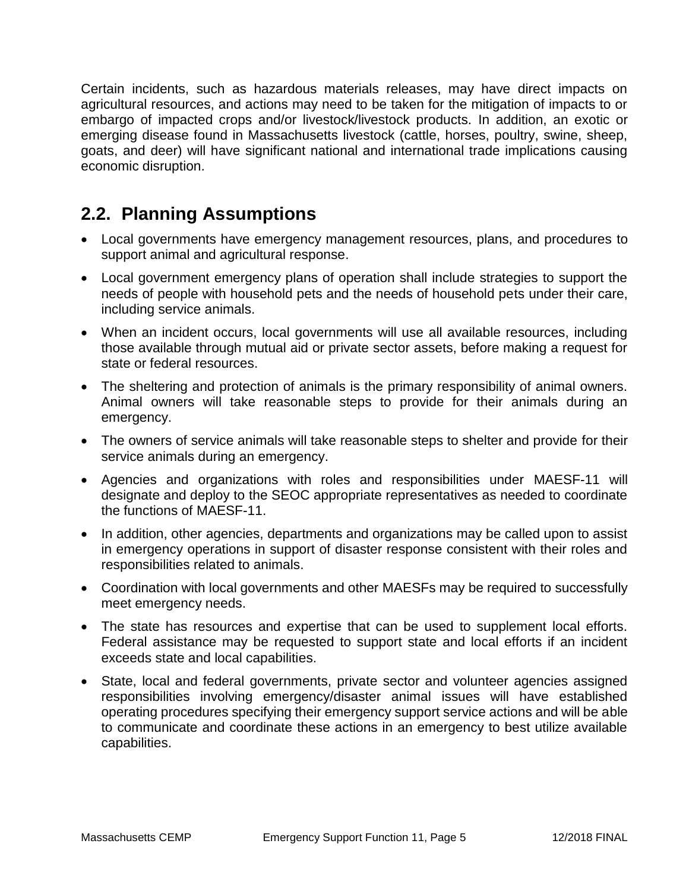Certain incidents, such as hazardous materials releases, may have direct impacts on agricultural resources, and actions may need to be taken for the mitigation of impacts to or embargo of impacted crops and/or livestock/livestock products. In addition, an exotic or emerging disease found in Massachusetts livestock (cattle, horses, poultry, swine, sheep, goats, and deer) will have significant national and international trade implications causing economic disruption.

## **2.2. Planning Assumptions**

- Local governments have emergency management resources, plans, and procedures to support animal and agricultural response.
- Local government emergency plans of operation shall include strategies to support the needs of people with household pets and the needs of household pets under their care, including service animals.
- When an incident occurs, local governments will use all available resources, including those available through mutual aid or private sector assets, before making a request for state or federal resources.
- The sheltering and protection of animals is the primary responsibility of animal owners. Animal owners will take reasonable steps to provide for their animals during an emergency.
- The owners of service animals will take reasonable steps to shelter and provide for their service animals during an emergency.
- Agencies and organizations with roles and responsibilities under MAESF-11 will designate and deploy to the SEOC appropriate representatives as needed to coordinate the functions of MAESF-11.
- In addition, other agencies, departments and organizations may be called upon to assist in emergency operations in support of disaster response consistent with their roles and responsibilities related to animals.
- Coordination with local governments and other MAESFs may be required to successfully meet emergency needs.
- The state has resources and expertise that can be used to supplement local efforts. Federal assistance may be requested to support state and local efforts if an incident exceeds state and local capabilities.
- State, local and federal governments, private sector and volunteer agencies assigned responsibilities involving emergency/disaster animal issues will have established operating procedures specifying their emergency support service actions and will be able to communicate and coordinate these actions in an emergency to best utilize available capabilities.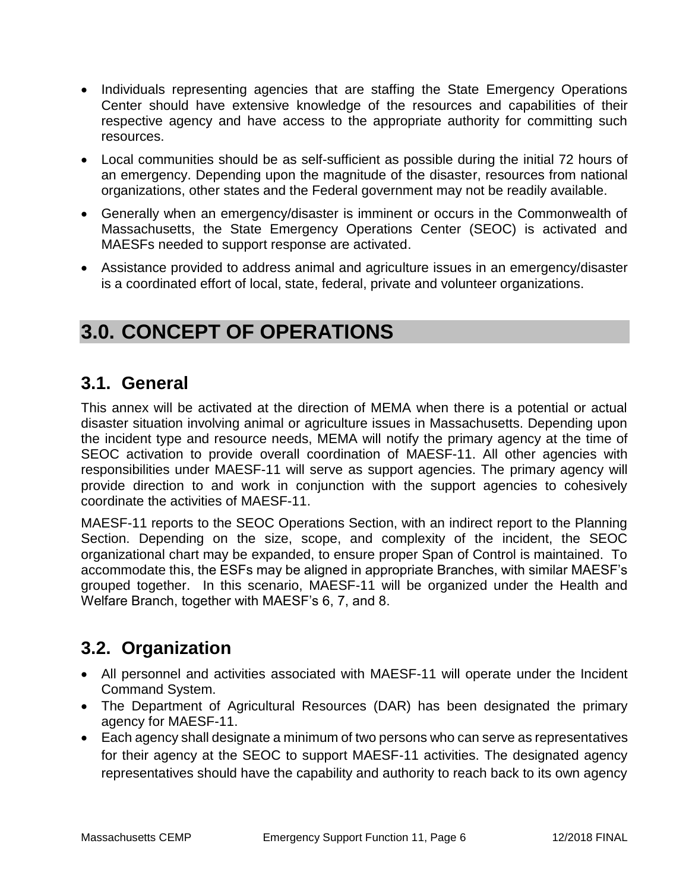- Individuals representing agencies that are staffing the State Emergency Operations Center should have extensive knowledge of the resources and capabilities of their respective agency and have access to the appropriate authority for committing such resources.
- Local communities should be as self-sufficient as possible during the initial 72 hours of an emergency. Depending upon the magnitude of the disaster, resources from national organizations, other states and the Federal government may not be readily available.
- Generally when an emergency/disaster is imminent or occurs in the Commonwealth of Massachusetts, the State Emergency Operations Center (SEOC) is activated and MAESFs needed to support response are activated.
- Assistance provided to address animal and agriculture issues in an emergency/disaster is a coordinated effort of local, state, federal, private and volunteer organizations.

# **3.0. CONCEPT OF OPERATIONS**

### **3.1. General**

This annex will be activated at the direction of MEMA when there is a potential or actual disaster situation involving animal or agriculture issues in Massachusetts. Depending upon the incident type and resource needs, MEMA will notify the primary agency at the time of SEOC activation to provide overall coordination of MAESF-11. All other agencies with responsibilities under MAESF-11 will serve as support agencies. The primary agency will provide direction to and work in conjunction with the support agencies to cohesively coordinate the activities of MAESF-11.

MAESF-11 reports to the SEOC Operations Section, with an indirect report to the Planning Section. Depending on the size, scope, and complexity of the incident, the SEOC organizational chart may be expanded, to ensure proper Span of Control is maintained. To accommodate this, the ESFs may be aligned in appropriate Branches, with similar MAESF's grouped together. In this scenario, MAESF-11 will be organized under the Health and Welfare Branch, together with MAESF's 6, 7, and 8.

# **3.2. Organization**

- All personnel and activities associated with MAESF-11 will operate under the Incident Command System.
- The Department of Agricultural Resources (DAR) has been designated the primary agency for MAESF-11.
- Each agency shall designate a minimum of two persons who can serve as representatives for their agency at the SEOC to support MAESF-11 activities. The designated agency representatives should have the capability and authority to reach back to its own agency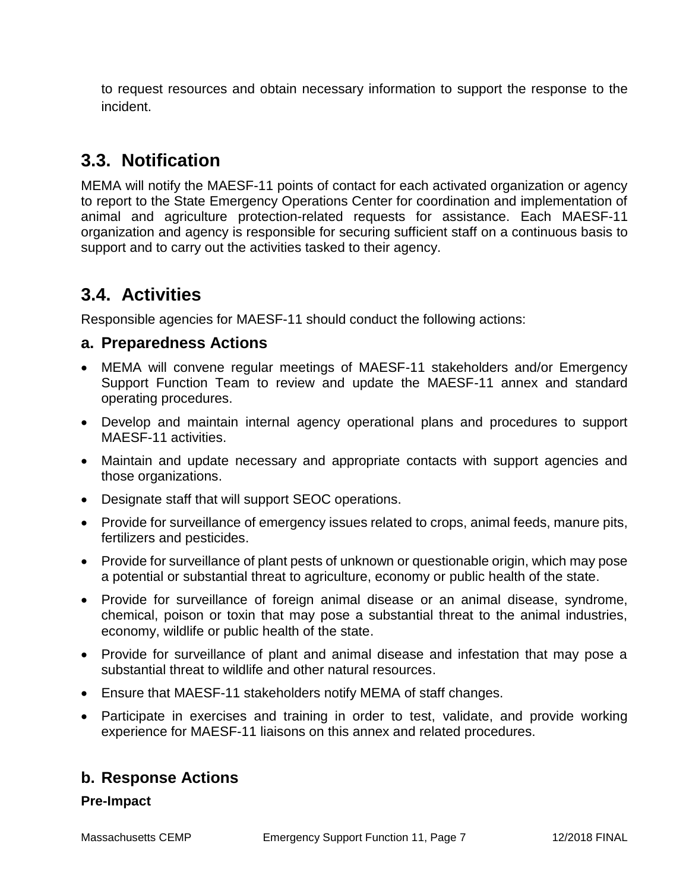to request resources and obtain necessary information to support the response to the incident.

## **3.3. Notification**

MEMA will notify the MAESF-11 points of contact for each activated organization or agency to report to the State Emergency Operations Center for coordination and implementation of animal and agriculture protection-related requests for assistance. Each MAESF-11 organization and agency is responsible for securing sufficient staff on a continuous basis to support and to carry out the activities tasked to their agency.

## **3.4. Activities**

Responsible agencies for MAESF-11 should conduct the following actions:

#### **a. Preparedness Actions**

- MEMA will convene regular meetings of MAESF-11 stakeholders and/or Emergency Support Function Team to review and update the MAESF-11 annex and standard operating procedures.
- Develop and maintain internal agency operational plans and procedures to support MAESF-11 activities.
- Maintain and update necessary and appropriate contacts with support agencies and those organizations.
- Designate staff that will support SEOC operations.
- Provide for surveillance of emergency issues related to crops, animal feeds, manure pits, fertilizers and pesticides.
- Provide for surveillance of plant pests of unknown or questionable origin, which may pose a potential or substantial threat to agriculture, economy or public health of the state.
- Provide for surveillance of foreign animal disease or an animal disease, syndrome, chemical, poison or toxin that may pose a substantial threat to the animal industries, economy, wildlife or public health of the state.
- Provide for surveillance of plant and animal disease and infestation that may pose a substantial threat to wildlife and other natural resources.
- Ensure that MAESF-11 stakeholders notify MEMA of staff changes.
- Participate in exercises and training in order to test, validate, and provide working experience for MAESF-11 liaisons on this annex and related procedures.

### **b. Response Actions**

#### **Pre-Impact**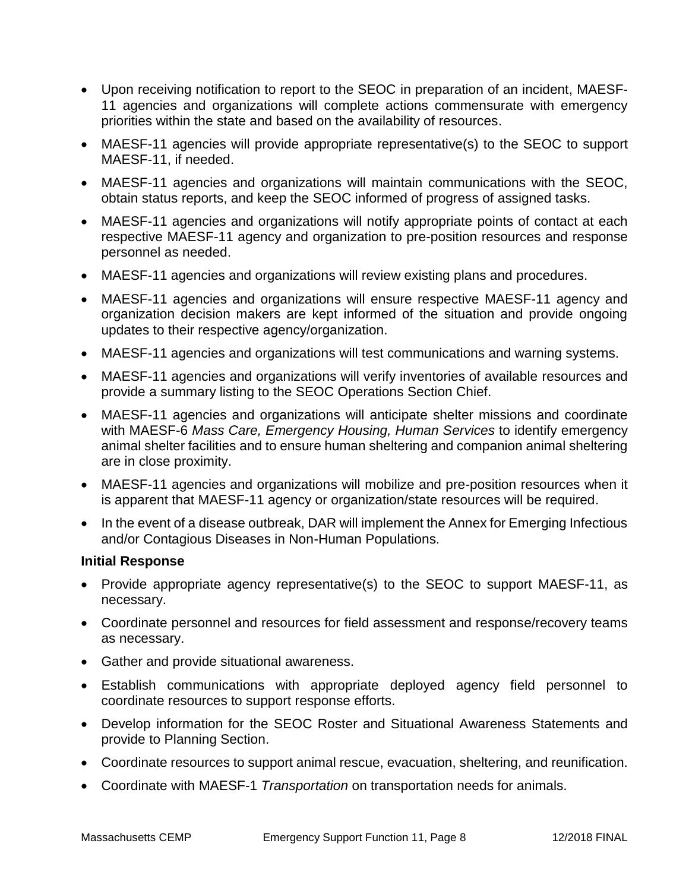- Upon receiving notification to report to the SEOC in preparation of an incident, MAESF-11 agencies and organizations will complete actions commensurate with emergency priorities within the state and based on the availability of resources.
- MAESF-11 agencies will provide appropriate representative(s) to the SEOC to support MAESF-11, if needed.
- MAESF-11 agencies and organizations will maintain communications with the SEOC, obtain status reports, and keep the SEOC informed of progress of assigned tasks.
- MAESF-11 agencies and organizations will notify appropriate points of contact at each respective MAESF-11 agency and organization to pre-position resources and response personnel as needed.
- MAESF-11 agencies and organizations will review existing plans and procedures.
- MAESF-11 agencies and organizations will ensure respective MAESF-11 agency and organization decision makers are kept informed of the situation and provide ongoing updates to their respective agency/organization.
- MAESF-11 agencies and organizations will test communications and warning systems.
- MAESF-11 agencies and organizations will verify inventories of available resources and provide a summary listing to the SEOC Operations Section Chief.
- MAESF-11 agencies and organizations will anticipate shelter missions and coordinate with MAESF-6 *Mass Care, Emergency Housing, Human Services* to identify emergency animal shelter facilities and to ensure human sheltering and companion animal sheltering are in close proximity.
- MAESF-11 agencies and organizations will mobilize and pre-position resources when it is apparent that MAESF-11 agency or organization/state resources will be required.
- In the event of a disease outbreak, DAR will implement the Annex for Emerging Infectious and/or Contagious Diseases in Non-Human Populations.

#### **Initial Response**

- Provide appropriate agency representative(s) to the SEOC to support MAESF-11, as necessary.
- Coordinate personnel and resources for field assessment and response/recovery teams as necessary.
- Gather and provide situational awareness.
- Establish communications with appropriate deployed agency field personnel to coordinate resources to support response efforts.
- Develop information for the SEOC Roster and Situational Awareness Statements and provide to Planning Section.
- Coordinate resources to support animal rescue, evacuation, sheltering, and reunification.
- Coordinate with MAESF-1 *Transportation* on transportation needs for animals.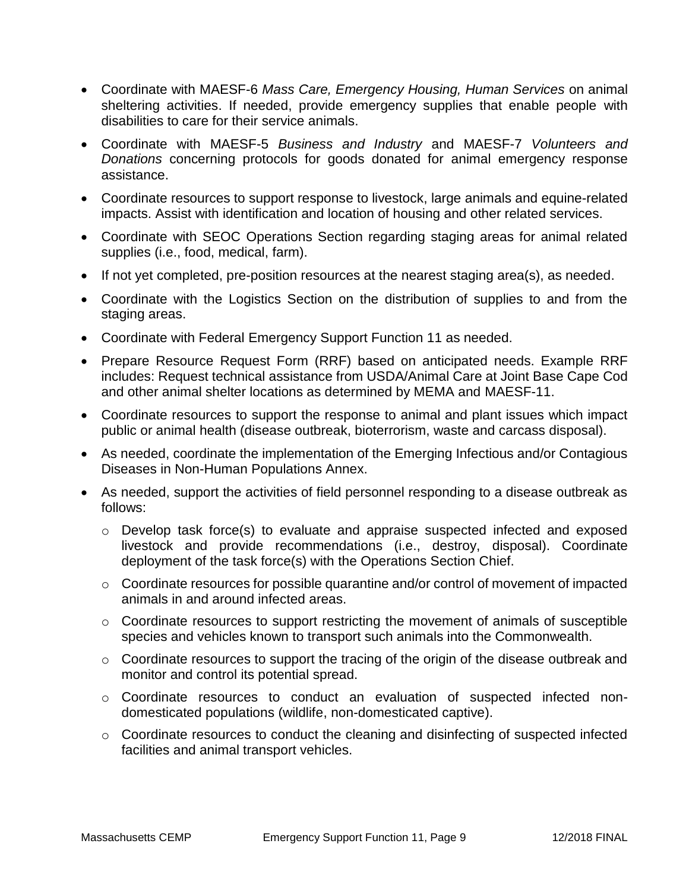- Coordinate with MAESF-6 *Mass Care, Emergency Housing, Human Services* on animal sheltering activities. If needed, provide emergency supplies that enable people with disabilities to care for their service animals.
- Coordinate with MAESF-5 *Business and Industry* and MAESF-7 *Volunteers and Donations* concerning protocols for goods donated for animal emergency response assistance.
- Coordinate resources to support response to livestock, large animals and equine-related impacts. Assist with identification and location of housing and other related services.
- Coordinate with SEOC Operations Section regarding staging areas for animal related supplies (i.e., food, medical, farm).
- If not yet completed, pre-position resources at the nearest staging area(s), as needed.
- Coordinate with the Logistics Section on the distribution of supplies to and from the staging areas.
- Coordinate with Federal Emergency Support Function 11 as needed.
- Prepare Resource Request Form (RRF) based on anticipated needs. Example RRF includes: Request technical assistance from USDA/Animal Care at Joint Base Cape Cod and other animal shelter locations as determined by MEMA and MAESF-11.
- Coordinate resources to support the response to animal and plant issues which impact public or animal health (disease outbreak, bioterrorism, waste and carcass disposal).
- As needed, coordinate the implementation of the Emerging Infectious and/or Contagious Diseases in Non-Human Populations Annex.
- As needed, support the activities of field personnel responding to a disease outbreak as follows:
	- o Develop task force(s) to evaluate and appraise suspected infected and exposed livestock and provide recommendations (i.e., destroy, disposal). Coordinate deployment of the task force(s) with the Operations Section Chief.
	- o Coordinate resources for possible quarantine and/or control of movement of impacted animals in and around infected areas.
	- o Coordinate resources to support restricting the movement of animals of susceptible species and vehicles known to transport such animals into the Commonwealth.
	- o Coordinate resources to support the tracing of the origin of the disease outbreak and monitor and control its potential spread.
	- o Coordinate resources to conduct an evaluation of suspected infected nondomesticated populations (wildlife, non-domesticated captive).
	- o Coordinate resources to conduct the cleaning and disinfecting of suspected infected facilities and animal transport vehicles.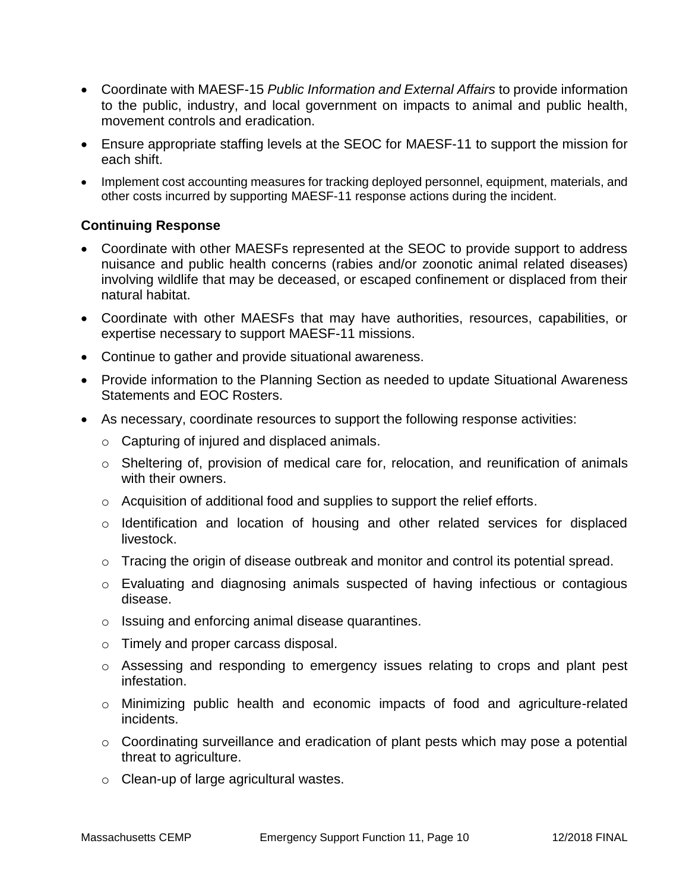- Coordinate with MAESF-15 *Public Information and External Affairs* to provide information to the public, industry, and local government on impacts to animal and public health, movement controls and eradication.
- Ensure appropriate staffing levels at the SEOC for MAESF-11 to support the mission for each shift.
- Implement cost accounting measures for tracking deployed personnel, equipment, materials, and other costs incurred by supporting MAESF-11 response actions during the incident.

#### **Continuing Response**

- Coordinate with other MAESFs represented at the SEOC to provide support to address nuisance and public health concerns (rabies and/or zoonotic animal related diseases) involving wildlife that may be deceased, or escaped confinement or displaced from their natural habitat.
- Coordinate with other MAESFs that may have authorities, resources, capabilities, or expertise necessary to support MAESF-11 missions.
- Continue to gather and provide situational awareness.
- Provide information to the Planning Section as needed to update Situational Awareness Statements and EOC Rosters.
- As necessary, coordinate resources to support the following response activities:
	- o Capturing of injured and displaced animals.
	- o Sheltering of, provision of medical care for, relocation, and reunification of animals with their owners.
	- o Acquisition of additional food and supplies to support the relief efforts.
	- o Identification and location of housing and other related services for displaced livestock.
	- o Tracing the origin of disease outbreak and monitor and control its potential spread.
	- $\circ$  Evaluating and diagnosing animals suspected of having infectious or contagious disease.
	- o Issuing and enforcing animal disease quarantines.
	- o Timely and proper carcass disposal.
	- o Assessing and responding to emergency issues relating to crops and plant pest infestation.
	- o Minimizing public health and economic impacts of food and agriculture-related incidents.
	- $\circ$  Coordinating surveillance and eradication of plant pests which may pose a potential threat to agriculture.
	- o Clean-up of large agricultural wastes.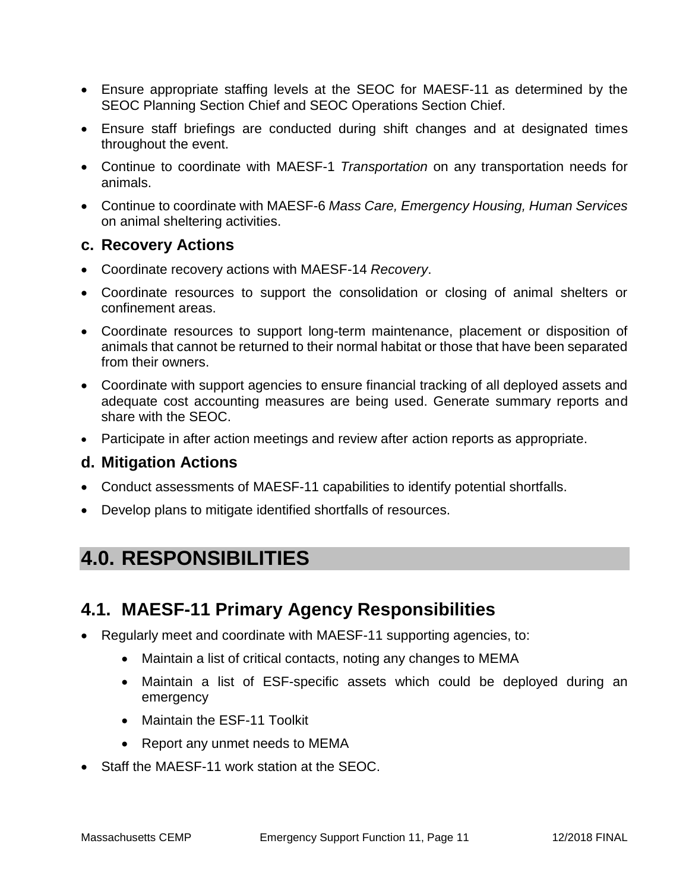- Ensure appropriate staffing levels at the SEOC for MAESF-11 as determined by the SEOC Planning Section Chief and SEOC Operations Section Chief.
- Ensure staff briefings are conducted during shift changes and at designated times throughout the event.
- Continue to coordinate with MAESF-1 *Transportation* on any transportation needs for animals.
- Continue to coordinate with MAESF-6 *Mass Care, Emergency Housing, Human Services* on animal sheltering activities.

#### **c. Recovery Actions**

- Coordinate recovery actions with MAESF-14 *Recovery*.
- Coordinate resources to support the consolidation or closing of animal shelters or confinement areas.
- Coordinate resources to support long-term maintenance, placement or disposition of animals that cannot be returned to their normal habitat or those that have been separated from their owners.
- Coordinate with support agencies to ensure financial tracking of all deployed assets and adequate cost accounting measures are being used. Generate summary reports and share with the SEOC.
- Participate in after action meetings and review after action reports as appropriate.

#### **d. Mitigation Actions**

- Conduct assessments of MAESF-11 capabilities to identify potential shortfalls.
- Develop plans to mitigate identified shortfalls of resources.

# **4.0. RESPONSIBILITIES**

## **4.1. MAESF-11 Primary Agency Responsibilities**

- Regularly meet and coordinate with MAESF-11 supporting agencies, to:
	- Maintain a list of critical contacts, noting any changes to MEMA
	- Maintain a list of ESF-specific assets which could be deployed during an emergency
	- Maintain the ESF-11 Toolkit
	- Report any unmet needs to MEMA
- Staff the MAESF-11 work station at the SEOC.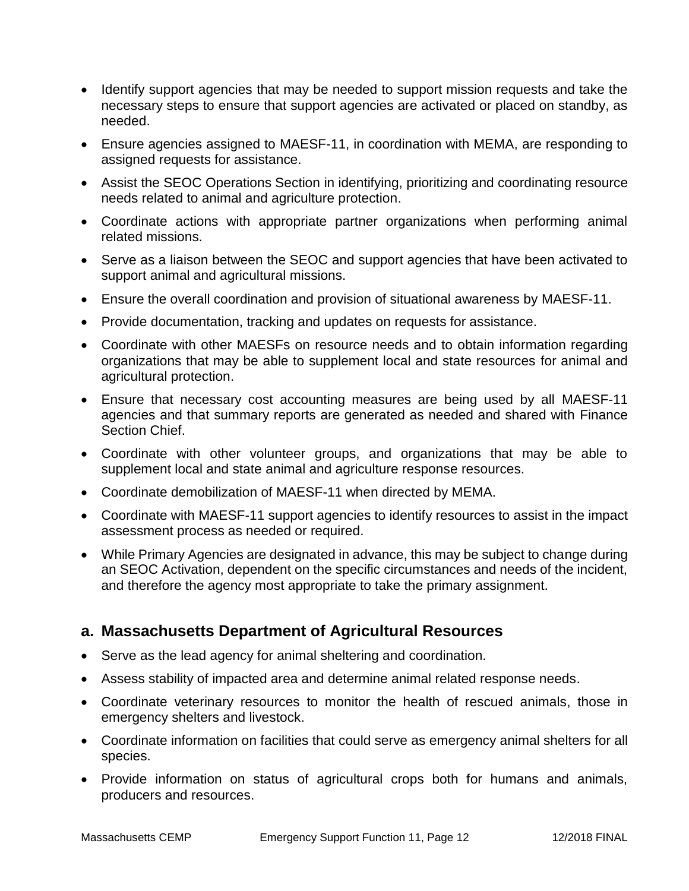- Identify support agencies that may be needed to support mission requests and take the necessary steps to ensure that support agencies are activated or placed on standby, as needed.
- Ensure agencies assigned to MAESF-11, in coordination with MEMA, are responding to assigned requests for assistance.
- Assist the SEOC Operations Section in identifying, prioritizing and coordinating resource needs related to animal and agriculture protection.
- Coordinate actions with appropriate partner organizations when performing animal related missions.
- Serve as a liaison between the SEOC and support agencies that have been activated to support animal and agricultural missions.
- Ensure the overall coordination and provision of situational awareness by MAESF-11.
- Provide documentation, tracking and updates on requests for assistance.
- Coordinate with other MAESFs on resource needs and to obtain information regarding organizations that may be able to supplement local and state resources for animal and agricultural protection.
- Ensure that necessary cost accounting measures are being used by all MAESF-11 agencies and that summary reports are generated as needed and shared with Finance Section Chief.
- Coordinate with other volunteer groups, and organizations that may be able to supplement local and state animal and agriculture response resources.
- Coordinate demobilization of MAESF-11 when directed by MEMA.
- Coordinate with MAESF-11 support agencies to identify resources to assist in the impact assessment process as needed or required.
- While Primary Agencies are designated in advance, this may be subject to change during an SEOC Activation, dependent on the specific circumstances and needs of the incident, and therefore the agency most appropriate to take the primary assignment.

#### **a. Massachusetts Department of Agricultural Resources**

- Serve as the lead agency for animal sheltering and coordination.
- Assess stability of impacted area and determine animal related response needs.
- Coordinate veterinary resources to monitor the health of rescued animals, those in emergency shelters and livestock.
- Coordinate information on facilities that could serve as emergency animal shelters for all species.
- Provide information on status of agricultural crops both for humans and animals, producers and resources.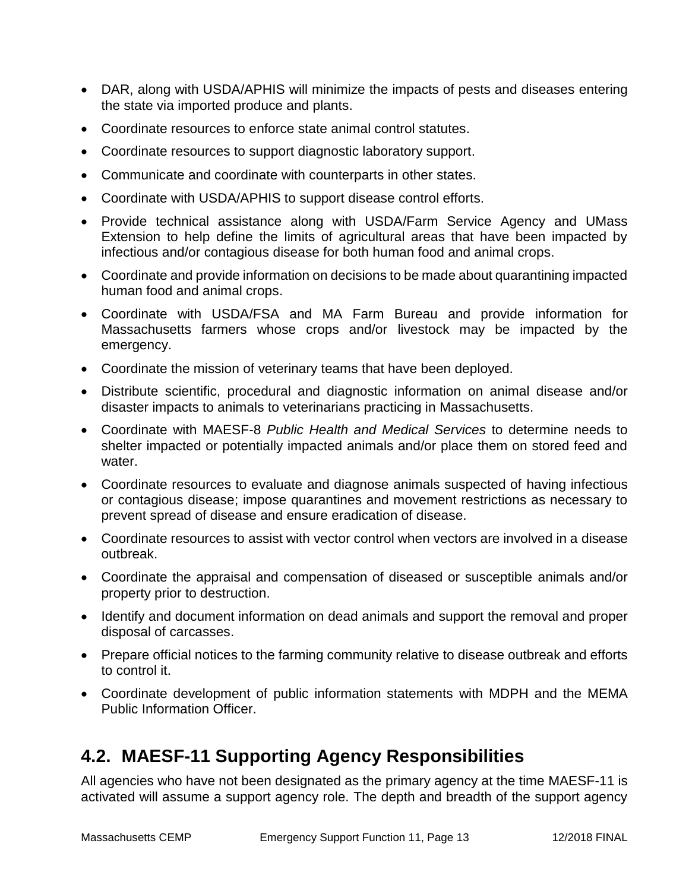- DAR, along with USDA/APHIS will minimize the impacts of pests and diseases entering the state via imported produce and plants.
- Coordinate resources to enforce state animal control statutes.
- Coordinate resources to support diagnostic laboratory support.
- Communicate and coordinate with counterparts in other states.
- Coordinate with USDA/APHIS to support disease control efforts.
- Provide technical assistance along with USDA/Farm Service Agency and UMass Extension to help define the limits of agricultural areas that have been impacted by infectious and/or contagious disease for both human food and animal crops.
- Coordinate and provide information on decisions to be made about quarantining impacted human food and animal crops.
- Coordinate with USDA/FSA and MA Farm Bureau and provide information for Massachusetts farmers whose crops and/or livestock may be impacted by the emergency.
- Coordinate the mission of veterinary teams that have been deployed.
- Distribute scientific, procedural and diagnostic information on animal disease and/or disaster impacts to animals to veterinarians practicing in Massachusetts.
- Coordinate with MAESF-8 *Public Health and Medical Services* to determine needs to shelter impacted or potentially impacted animals and/or place them on stored feed and water.
- Coordinate resources to evaluate and diagnose animals suspected of having infectious or contagious disease; impose quarantines and movement restrictions as necessary to prevent spread of disease and ensure eradication of disease.
- Coordinate resources to assist with vector control when vectors are involved in a disease outbreak.
- Coordinate the appraisal and compensation of diseased or susceptible animals and/or property prior to destruction.
- Identify and document information on dead animals and support the removal and proper disposal of carcasses.
- Prepare official notices to the farming community relative to disease outbreak and efforts to control it.
- Coordinate development of public information statements with MDPH and the MEMA Public Information Officer.

# **4.2. MAESF-11 Supporting Agency Responsibilities**

All agencies who have not been designated as the primary agency at the time MAESF-11 is activated will assume a support agency role. The depth and breadth of the support agency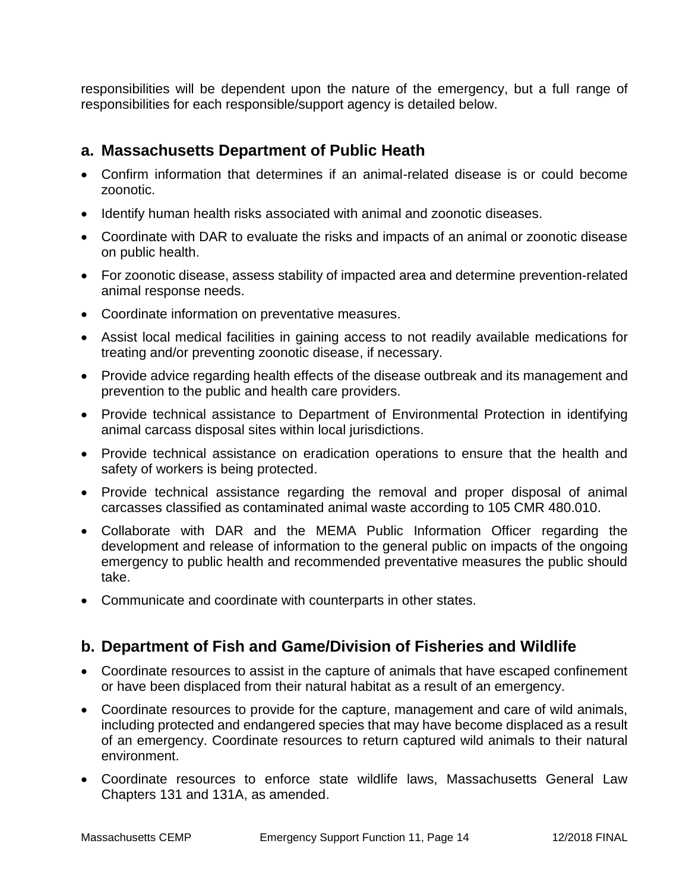responsibilities will be dependent upon the nature of the emergency, but a full range of responsibilities for each responsible/support agency is detailed below.

#### **a. Massachusetts Department of Public Heath**

- Confirm information that determines if an animal-related disease is or could become zoonotic.
- Identify human health risks associated with animal and zoonotic diseases.
- Coordinate with DAR to evaluate the risks and impacts of an animal or zoonotic disease on public health.
- For zoonotic disease, assess stability of impacted area and determine prevention-related animal response needs.
- Coordinate information on preventative measures.
- Assist local medical facilities in gaining access to not readily available medications for treating and/or preventing zoonotic disease, if necessary.
- Provide advice regarding health effects of the disease outbreak and its management and prevention to the public and health care providers.
- Provide technical assistance to Department of Environmental Protection in identifying animal carcass disposal sites within local jurisdictions.
- Provide technical assistance on eradication operations to ensure that the health and safety of workers is being protected.
- Provide technical assistance regarding the removal and proper disposal of animal carcasses classified as contaminated animal waste according to 105 CMR 480.010.
- Collaborate with DAR and the MEMA Public Information Officer regarding the development and release of information to the general public on impacts of the ongoing emergency to public health and recommended preventative measures the public should take.
- Communicate and coordinate with counterparts in other states.

### **b. Department of Fish and Game/Division of Fisheries and Wildlife**

- Coordinate resources to assist in the capture of animals that have escaped confinement or have been displaced from their natural habitat as a result of an emergency.
- Coordinate resources to provide for the capture, management and care of wild animals, including protected and endangered species that may have become displaced as a result of an emergency. Coordinate resources to return captured wild animals to their natural environment.
- Coordinate resources to enforce state wildlife laws, Massachusetts General Law Chapters 131 and 131A, as amended.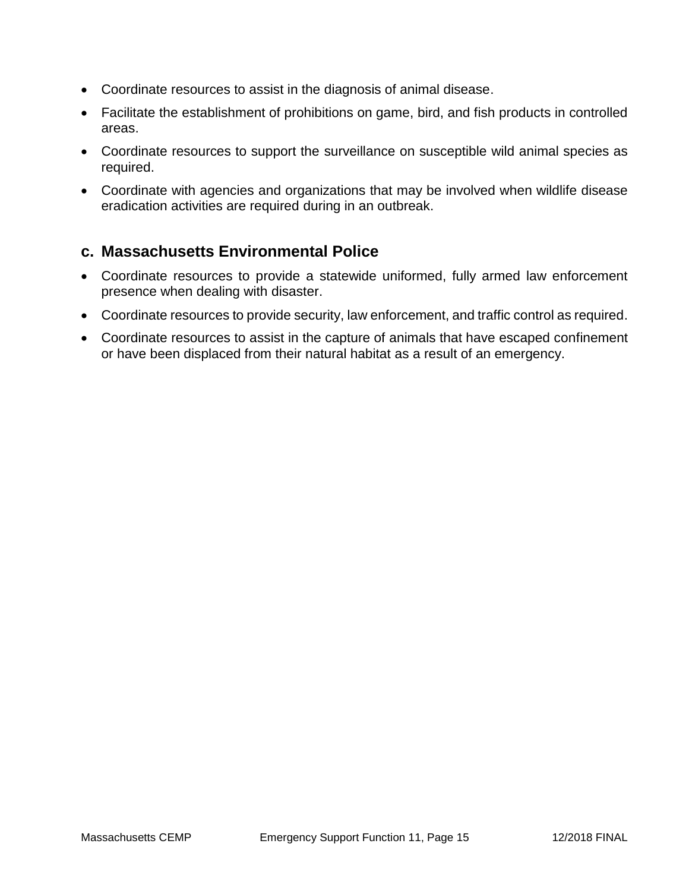- Coordinate resources to assist in the diagnosis of animal disease.
- Facilitate the establishment of prohibitions on game, bird, and fish products in controlled areas.
- Coordinate resources to support the surveillance on susceptible wild animal species as required.
- Coordinate with agencies and organizations that may be involved when wildlife disease eradication activities are required during in an outbreak.

### **c. Massachusetts Environmental Police**

- Coordinate resources to provide a statewide uniformed, fully armed law enforcement presence when dealing with disaster.
- Coordinate resources to provide security, law enforcement, and traffic control as required.
- Coordinate resources to assist in the capture of animals that have escaped confinement or have been displaced from their natural habitat as a result of an emergency.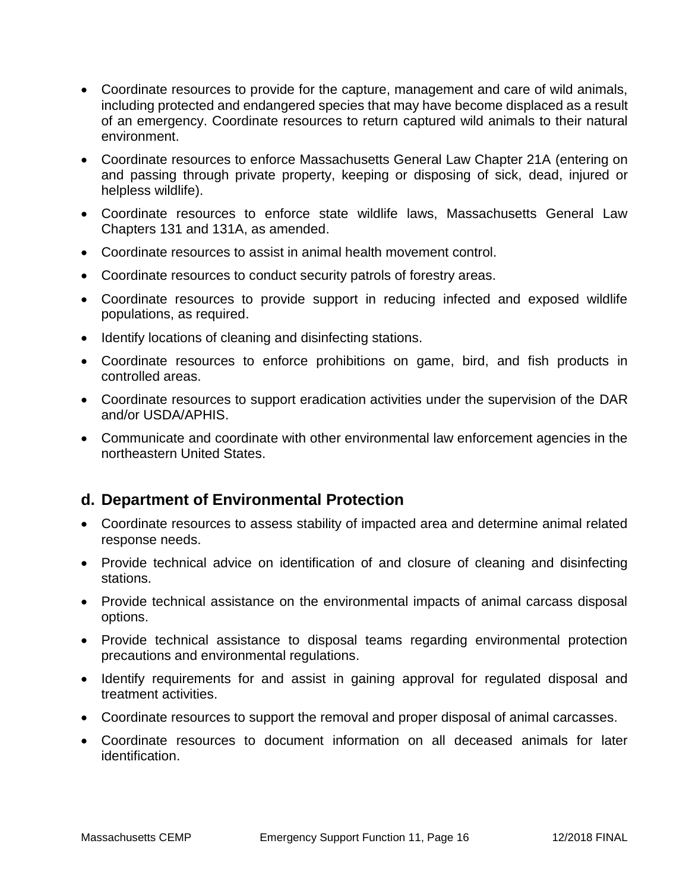- Coordinate resources to provide for the capture, management and care of wild animals, including protected and endangered species that may have become displaced as a result of an emergency. Coordinate resources to return captured wild animals to their natural environment.
- Coordinate resources to enforce Massachusetts General Law Chapter 21A (entering on and passing through private property, keeping or disposing of sick, dead, injured or helpless wildlife).
- Coordinate resources to enforce state wildlife laws, Massachusetts General Law Chapters 131 and 131A, as amended.
- Coordinate resources to assist in animal health movement control.
- Coordinate resources to conduct security patrols of forestry areas.
- Coordinate resources to provide support in reducing infected and exposed wildlife populations, as required.
- Identify locations of cleaning and disinfecting stations.
- Coordinate resources to enforce prohibitions on game, bird, and fish products in controlled areas.
- Coordinate resources to support eradication activities under the supervision of the DAR and/or USDA/APHIS.
- Communicate and coordinate with other environmental law enforcement agencies in the northeastern United States.

#### **d. Department of Environmental Protection**

- Coordinate resources to assess stability of impacted area and determine animal related response needs.
- Provide technical advice on identification of and closure of cleaning and disinfecting stations.
- Provide technical assistance on the environmental impacts of animal carcass disposal options.
- Provide technical assistance to disposal teams regarding environmental protection precautions and environmental regulations.
- Identify requirements for and assist in gaining approval for regulated disposal and treatment activities.
- Coordinate resources to support the removal and proper disposal of animal carcasses.
- Coordinate resources to document information on all deceased animals for later identification.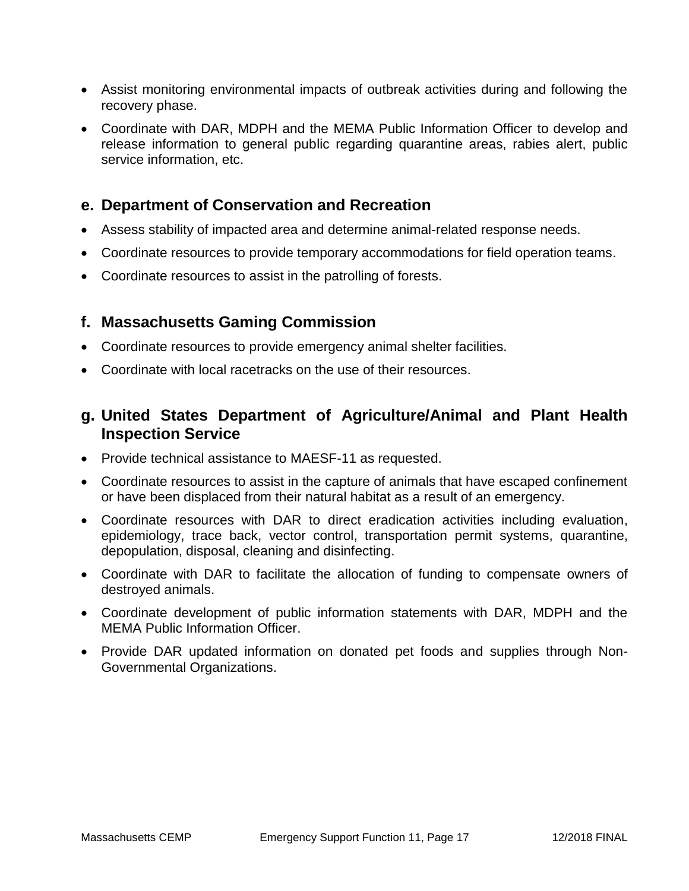- Assist monitoring environmental impacts of outbreak activities during and following the recovery phase.
- Coordinate with DAR, MDPH and the MEMA Public Information Officer to develop and release information to general public regarding quarantine areas, rabies alert, public service information, etc.

#### **e. Department of Conservation and Recreation**

- Assess stability of impacted area and determine animal-related response needs.
- Coordinate resources to provide temporary accommodations for field operation teams.
- Coordinate resources to assist in the patrolling of forests.

#### **f. Massachusetts Gaming Commission**

- Coordinate resources to provide emergency animal shelter facilities.
- Coordinate with local racetracks on the use of their resources.

### **g. United States Department of Agriculture/Animal and Plant Health Inspection Service**

- Provide technical assistance to MAESF-11 as requested.
- Coordinate resources to assist in the capture of animals that have escaped confinement or have been displaced from their natural habitat as a result of an emergency.
- Coordinate resources with DAR to direct eradication activities including evaluation, epidemiology, trace back, vector control, transportation permit systems, quarantine, depopulation, disposal, cleaning and disinfecting.
- Coordinate with DAR to facilitate the allocation of funding to compensate owners of destroyed animals.
- Coordinate development of public information statements with DAR, MDPH and the MEMA Public Information Officer.
- Provide DAR updated information on donated pet foods and supplies through Non-Governmental Organizations.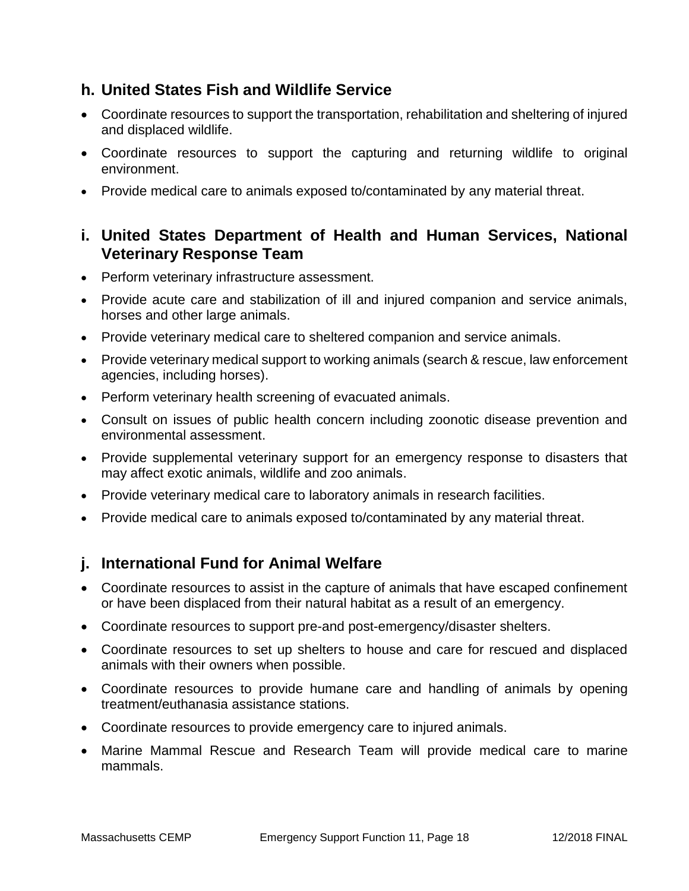### **h. United States Fish and Wildlife Service**

- Coordinate resources to support the transportation, rehabilitation and sheltering of injured and displaced wildlife.
- Coordinate resources to support the capturing and returning wildlife to original environment.
- Provide medical care to animals exposed to/contaminated by any material threat.

#### **i. United States Department of Health and Human Services, National Veterinary Response Team**

- Perform veterinary infrastructure assessment.
- Provide acute care and stabilization of ill and injured companion and service animals, horses and other large animals.
- Provide veterinary medical care to sheltered companion and service animals.
- Provide veterinary medical support to working animals (search & rescue, law enforcement agencies, including horses).
- Perform veterinary health screening of evacuated animals.
- Consult on issues of public health concern including zoonotic disease prevention and environmental assessment.
- Provide supplemental veterinary support for an emergency response to disasters that may affect exotic animals, wildlife and zoo animals.
- Provide veterinary medical care to laboratory animals in research facilities.
- Provide medical care to animals exposed to/contaminated by any material threat.

### **j. International Fund for Animal Welfare**

- Coordinate resources to assist in the capture of animals that have escaped confinement or have been displaced from their natural habitat as a result of an emergency.
- Coordinate resources to support pre-and post-emergency/disaster shelters.
- Coordinate resources to set up shelters to house and care for rescued and displaced animals with their owners when possible.
- Coordinate resources to provide humane care and handling of animals by opening treatment/euthanasia assistance stations.
- Coordinate resources to provide emergency care to injured animals.
- Marine Mammal Rescue and Research Team will provide medical care to marine mammals.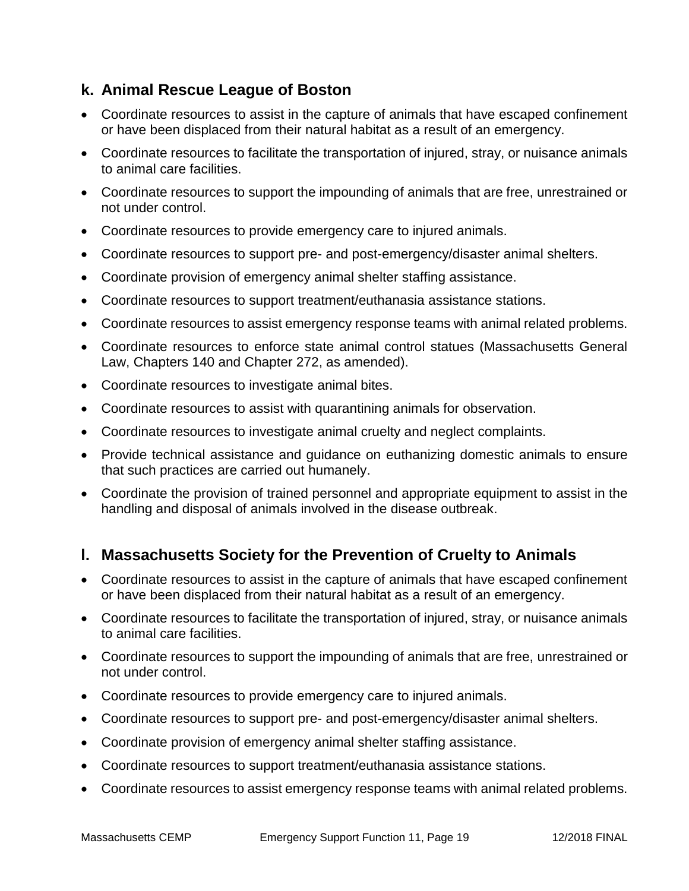### **k. Animal Rescue League of Boston**

- Coordinate resources to assist in the capture of animals that have escaped confinement or have been displaced from their natural habitat as a result of an emergency.
- Coordinate resources to facilitate the transportation of injured, stray, or nuisance animals to animal care facilities.
- Coordinate resources to support the impounding of animals that are free, unrestrained or not under control.
- Coordinate resources to provide emergency care to injured animals.
- Coordinate resources to support pre- and post-emergency/disaster animal shelters.
- Coordinate provision of emergency animal shelter staffing assistance.
- Coordinate resources to support treatment/euthanasia assistance stations.
- Coordinate resources to assist emergency response teams with animal related problems.
- Coordinate resources to enforce state animal control statues (Massachusetts General Law, Chapters 140 and Chapter 272, as amended).
- Coordinate resources to investigate animal bites.
- Coordinate resources to assist with quarantining animals for observation.
- Coordinate resources to investigate animal cruelty and neglect complaints.
- Provide technical assistance and guidance on euthanizing domestic animals to ensure that such practices are carried out humanely.
- Coordinate the provision of trained personnel and appropriate equipment to assist in the handling and disposal of animals involved in the disease outbreak.

### **l. Massachusetts Society for the Prevention of Cruelty to Animals**

- Coordinate resources to assist in the capture of animals that have escaped confinement or have been displaced from their natural habitat as a result of an emergency.
- Coordinate resources to facilitate the transportation of injured, stray, or nuisance animals to animal care facilities.
- Coordinate resources to support the impounding of animals that are free, unrestrained or not under control.
- Coordinate resources to provide emergency care to injured animals.
- Coordinate resources to support pre- and post-emergency/disaster animal shelters.
- Coordinate provision of emergency animal shelter staffing assistance.
- Coordinate resources to support treatment/euthanasia assistance stations.
- Coordinate resources to assist emergency response teams with animal related problems.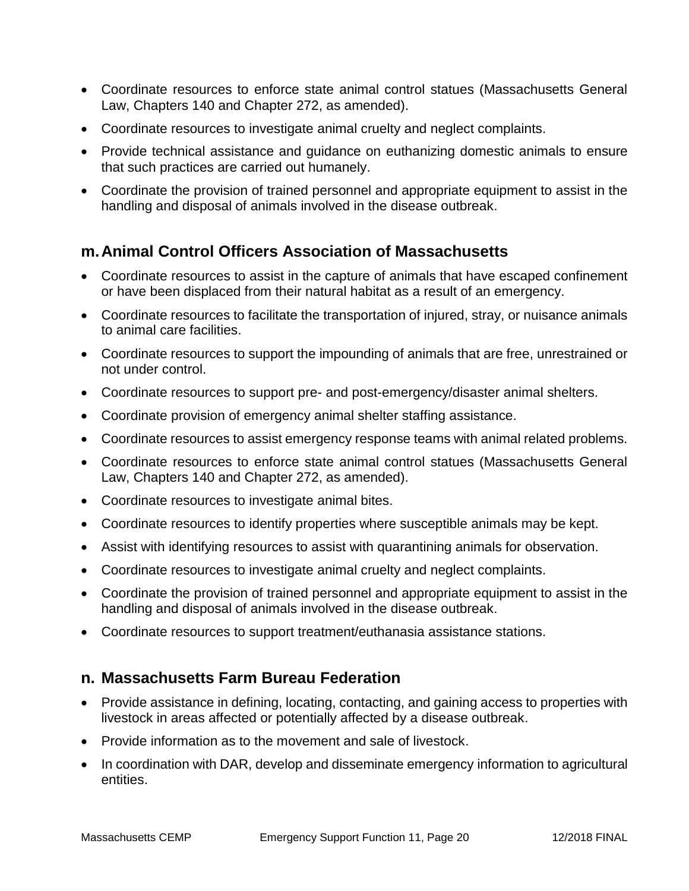- Coordinate resources to enforce state animal control statues (Massachusetts General Law, Chapters 140 and Chapter 272, as amended).
- Coordinate resources to investigate animal cruelty and neglect complaints.
- Provide technical assistance and guidance on euthanizing domestic animals to ensure that such practices are carried out humanely.
- Coordinate the provision of trained personnel and appropriate equipment to assist in the handling and disposal of animals involved in the disease outbreak.

### **m.Animal Control Officers Association of Massachusetts**

- Coordinate resources to assist in the capture of animals that have escaped confinement or have been displaced from their natural habitat as a result of an emergency.
- Coordinate resources to facilitate the transportation of injured, stray, or nuisance animals to animal care facilities.
- Coordinate resources to support the impounding of animals that are free, unrestrained or not under control.
- Coordinate resources to support pre- and post-emergency/disaster animal shelters.
- Coordinate provision of emergency animal shelter staffing assistance.
- Coordinate resources to assist emergency response teams with animal related problems.
- Coordinate resources to enforce state animal control statues (Massachusetts General Law, Chapters 140 and Chapter 272, as amended).
- Coordinate resources to investigate animal bites.
- Coordinate resources to identify properties where susceptible animals may be kept.
- Assist with identifying resources to assist with quarantining animals for observation.
- Coordinate resources to investigate animal cruelty and neglect complaints.
- Coordinate the provision of trained personnel and appropriate equipment to assist in the handling and disposal of animals involved in the disease outbreak.
- Coordinate resources to support treatment/euthanasia assistance stations.

### **n. Massachusetts Farm Bureau Federation**

- Provide assistance in defining, locating, contacting, and gaining access to properties with livestock in areas affected or potentially affected by a disease outbreak.
- Provide information as to the movement and sale of livestock.
- In coordination with DAR, develop and disseminate emergency information to agricultural entities.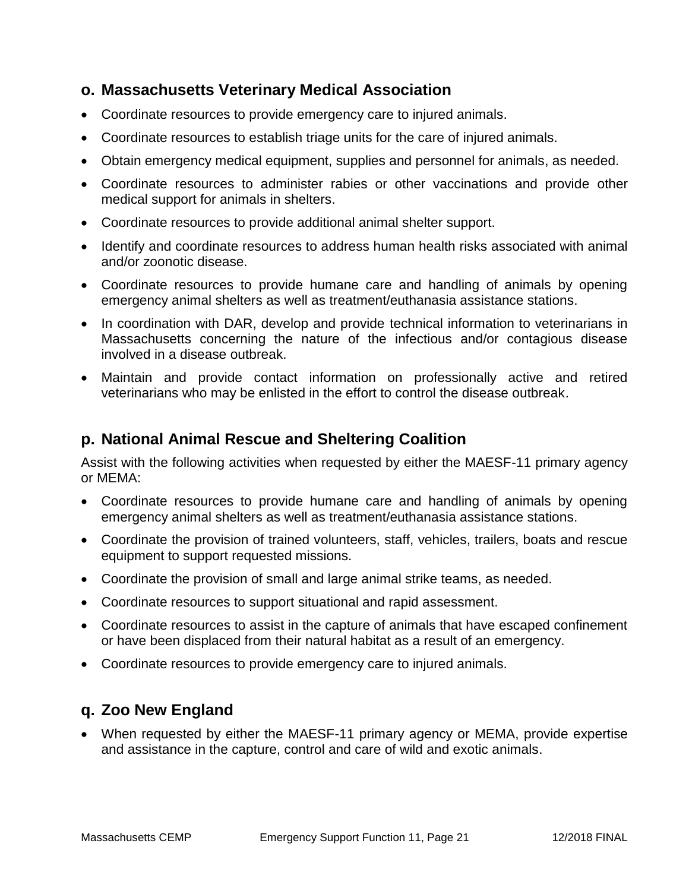#### **o. Massachusetts Veterinary Medical Association**

- Coordinate resources to provide emergency care to injured animals.
- Coordinate resources to establish triage units for the care of injured animals.
- Obtain emergency medical equipment, supplies and personnel for animals, as needed.
- Coordinate resources to administer rabies or other vaccinations and provide other medical support for animals in shelters.
- Coordinate resources to provide additional animal shelter support.
- Identify and coordinate resources to address human health risks associated with animal and/or zoonotic disease.
- Coordinate resources to provide humane care and handling of animals by opening emergency animal shelters as well as treatment/euthanasia assistance stations.
- In coordination with DAR, develop and provide technical information to veterinarians in Massachusetts concerning the nature of the infectious and/or contagious disease involved in a disease outbreak.
- Maintain and provide contact information on professionally active and retired veterinarians who may be enlisted in the effort to control the disease outbreak.

#### **p. National Animal Rescue and Sheltering Coalition**

Assist with the following activities when requested by either the MAESF-11 primary agency or MEMA:

- Coordinate resources to provide humane care and handling of animals by opening emergency animal shelters as well as treatment/euthanasia assistance stations.
- Coordinate the provision of trained volunteers, staff, vehicles, trailers, boats and rescue equipment to support requested missions.
- Coordinate the provision of small and large animal strike teams, as needed.
- Coordinate resources to support situational and rapid assessment.
- Coordinate resources to assist in the capture of animals that have escaped confinement or have been displaced from their natural habitat as a result of an emergency.
- Coordinate resources to provide emergency care to injured animals.

### **q. Zoo New England**

 When requested by either the MAESF-11 primary agency or MEMA, provide expertise and assistance in the capture, control and care of wild and exotic animals.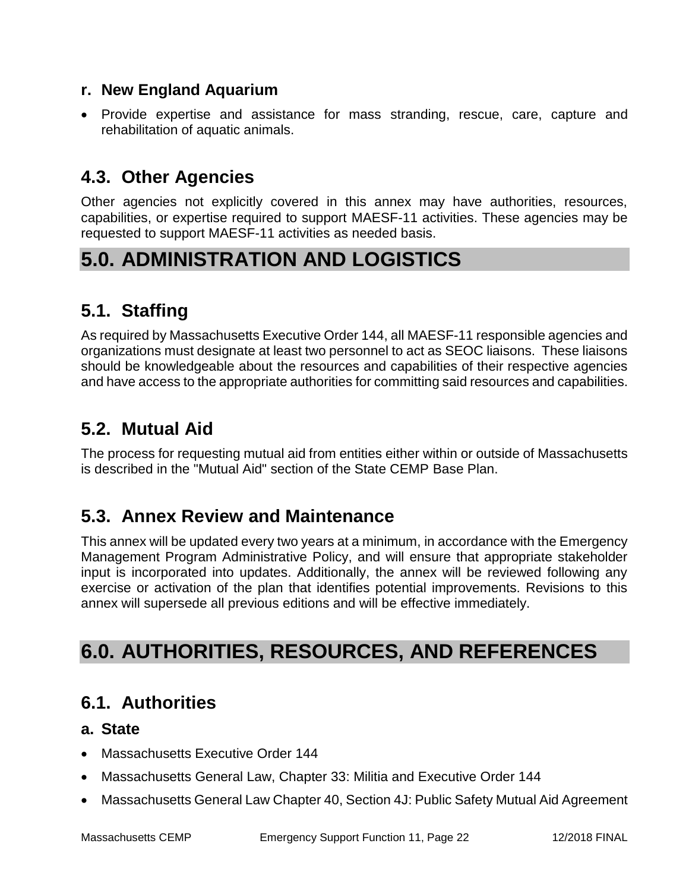#### **r. New England Aquarium**

 Provide expertise and assistance for mass stranding, rescue, care, capture and rehabilitation of aquatic animals.

## **4.3. Other Agencies**

Other agencies not explicitly covered in this annex may have authorities, resources, capabilities, or expertise required to support MAESF-11 activities. These agencies may be requested to support MAESF-11 activities as needed basis.

# **5.0. ADMINISTRATION AND LOGISTICS**

# **5.1. Staffing**

As required by Massachusetts Executive Order 144, all MAESF-11 responsible agencies and organizations must designate at least two personnel to act as SEOC liaisons. These liaisons should be knowledgeable about the resources and capabilities of their respective agencies and have access to the appropriate authorities for committing said resources and capabilities.

## **5.2. Mutual Aid**

The process for requesting mutual aid from entities either within or outside of Massachusetts is described in the "Mutual Aid" section of the State CEMP Base Plan.

## **5.3. Annex Review and Maintenance**

This annex will be updated every two years at a minimum, in accordance with the Emergency Management Program Administrative Policy, and will ensure that appropriate stakeholder input is incorporated into updates. Additionally, the annex will be reviewed following any exercise or activation of the plan that identifies potential improvements. Revisions to this annex will supersede all previous editions and will be effective immediately.

# **6.0. AUTHORITIES, RESOURCES, AND REFERENCES**

## **6.1. Authorities**

#### **a. State**

- Massachusetts Executive Order 144
- Massachusetts General Law, Chapter 33: Militia and Executive Order 144
- Massachusetts General Law Chapter 40, Section 4J: Public Safety Mutual Aid Agreement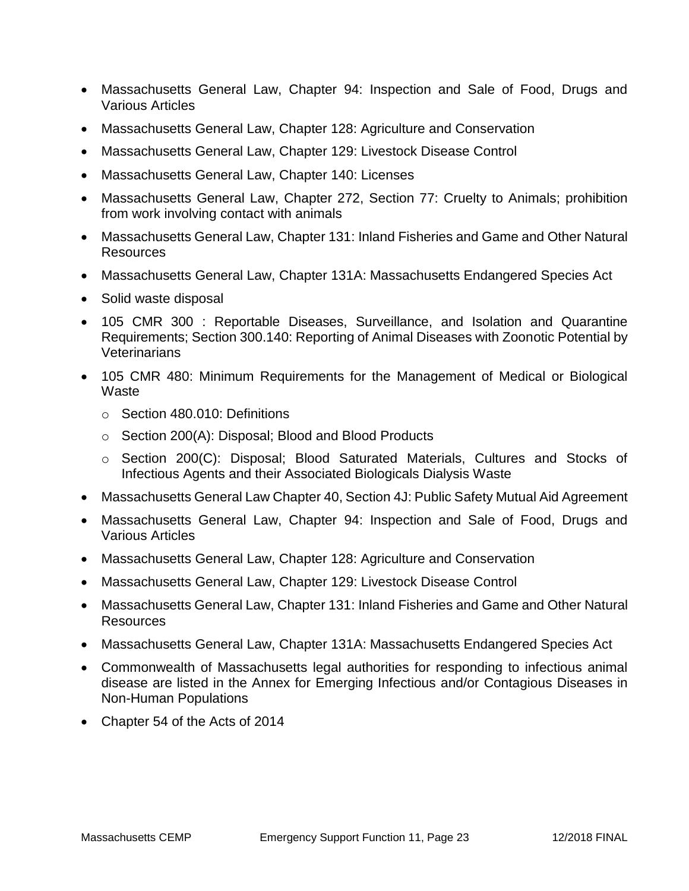- Massachusetts General Law, Chapter 94: Inspection and Sale of Food, Drugs and Various Articles
- Massachusetts General Law, Chapter 128: Agriculture and Conservation
- Massachusetts General Law, Chapter 129: Livestock Disease Control
- Massachusetts General Law, Chapter 140: Licenses
- Massachusetts General Law, Chapter 272, Section 77: Cruelty to Animals; prohibition from work involving contact with animals
- Massachusetts General Law, Chapter 131: Inland Fisheries and Game and Other Natural Resources
- Massachusetts General Law, Chapter 131A: Massachusetts Endangered Species Act
- Solid waste disposal
- 105 CMR 300 : Reportable Diseases, Surveillance, and Isolation and Quarantine Requirements; Section 300.140: Reporting of Animal Diseases with Zoonotic Potential by **Veterinarians**
- 105 CMR 480: Minimum Requirements for the Management of Medical or Biological **Waste** 
	- o Section 480.010: Definitions
	- o Section 200(A): Disposal; Blood and Blood Products
	- o Section 200(C): Disposal; Blood Saturated Materials, Cultures and Stocks of Infectious Agents and their Associated Biologicals Dialysis Waste
- Massachusetts General Law Chapter 40, Section 4J: Public Safety Mutual Aid Agreement
- Massachusetts General Law, Chapter 94: Inspection and Sale of Food, Drugs and Various Articles
- Massachusetts General Law, Chapter 128: Agriculture and Conservation
- Massachusetts General Law, Chapter 129: Livestock Disease Control
- Massachusetts General Law, Chapter 131: Inland Fisheries and Game and Other Natural Resources
- Massachusetts General Law, Chapter 131A: Massachusetts Endangered Species Act
- Commonwealth of Massachusetts legal authorities for responding to infectious animal disease are listed in the Annex for Emerging Infectious and/or Contagious Diseases in Non-Human Populations
- Chapter 54 of the Acts of 2014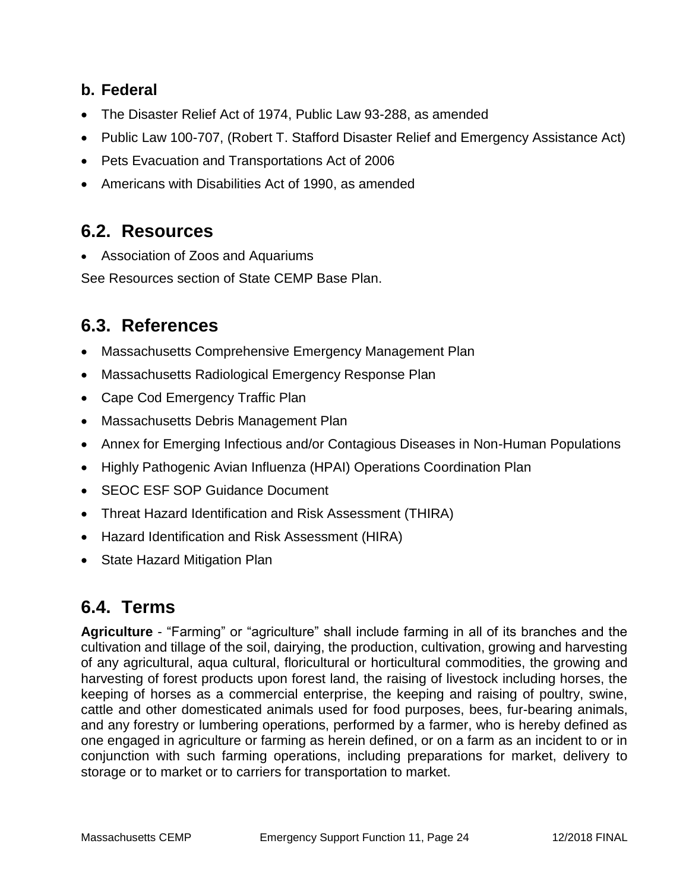### **b. Federal**

- The Disaster Relief Act of 1974, Public Law 93-288, as amended
- Public Law 100-707, (Robert T. Stafford Disaster Relief and Emergency Assistance Act)
- Pets Evacuation and Transportations Act of 2006
- Americans with Disabilities Act of 1990, as amended

## **6.2. Resources**

Association of Zoos and Aquariums

See Resources section of State CEMP Base Plan.

## **6.3. References**

- Massachusetts Comprehensive Emergency Management Plan
- Massachusetts Radiological Emergency Response Plan
- Cape Cod Emergency Traffic Plan
- Massachusetts Debris Management Plan
- Annex for Emerging Infectious and/or Contagious Diseases in Non-Human Populations
- Highly Pathogenic Avian Influenza (HPAI) Operations Coordination Plan
- SEOC ESF SOP Guidance Document
- Threat Hazard Identification and Risk Assessment (THIRA)
- Hazard Identification and Risk Assessment (HIRA)
- State Hazard Mitigation Plan

## **6.4. Terms**

**Agriculture** - "Farming" or "agriculture" shall include farming in all of its branches and the cultivation and tillage of the soil, dairying, the production, cultivation, growing and harvesting of any agricultural, aqua cultural, floricultural or horticultural commodities, the growing and harvesting of forest products upon forest land, the raising of livestock including horses, the keeping of horses as a commercial enterprise, the keeping and raising of poultry, swine, cattle and other domesticated animals used for food purposes, bees, fur-bearing animals, and any forestry or lumbering operations, performed by a farmer, who is hereby defined as one engaged in agriculture or farming as herein defined, or on a farm as an incident to or in conjunction with such farming operations, including preparations for market, delivery to storage or to market or to carriers for transportation to market.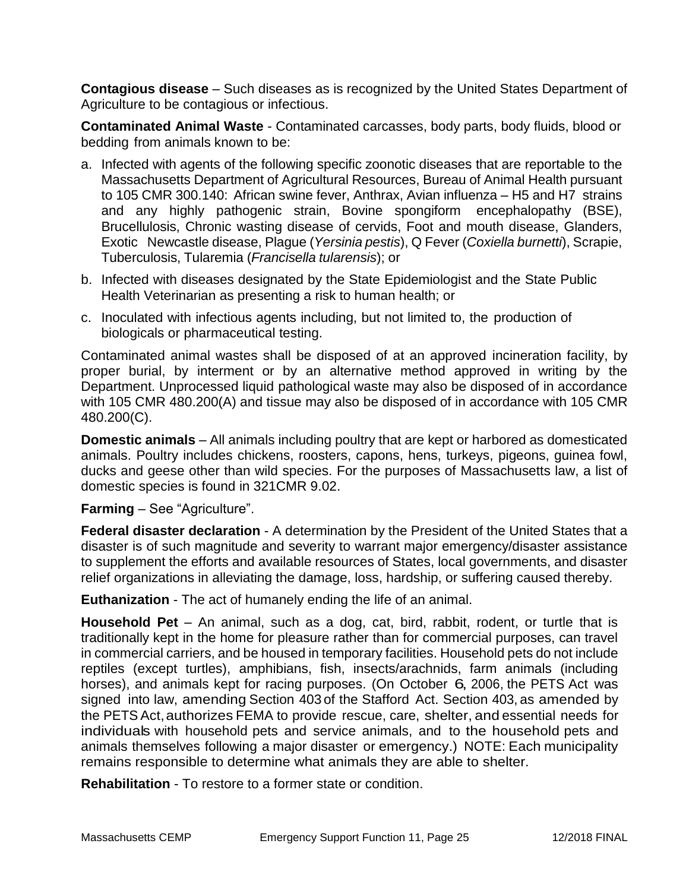**Contagious disease** – Such diseases as is recognized by the United States Department of Agriculture to be contagious or infectious.

**Contaminated Animal Waste** - Contaminated carcasses, body parts, body fluids, blood or bedding from animals known to be:

- a. Infected with agents of the following specific zoonotic diseases that are reportable to the Massachusetts Department of Agricultural Resources, Bureau of Animal Health pursuant to 105 CMR 300.140: African swine fever, Anthrax, Avian influenza – H5 and H7 strains and any highly pathogenic strain, Bovine spongiform encephalopathy (BSE), Brucellulosis, Chronic wasting disease of cervids, Foot and mouth disease, Glanders, Exotic Newcastle disease, Plague (*Yersinia pestis*), Q Fever (*Coxiella burnetti*), Scrapie, Tuberculosis, Tularemia (*Francisella tularensis*); or
- b. Infected with diseases designated by the State Epidemiologist and the State Public Health Veterinarian as presenting a risk to human health; or
- c. Inoculated with infectious agents including, but not limited to, the production of biologicals or pharmaceutical testing.

Contaminated animal wastes shall be disposed of at an approved incineration facility, by proper burial, by interment or by an alternative method approved in writing by the Department. Unprocessed liquid pathological waste may also be disposed of in accordance with 105 CMR 480.200(A) and tissue may also be disposed of in accordance with 105 CMR 480.200(C).

**Domestic animals** – All animals including poultry that are kept or harbored as domesticated animals. Poultry includes chickens, roosters, capons, hens, turkeys, pigeons, guinea fowl, ducks and geese other than wild species. For the purposes of Massachusetts law, a list of domestic species is found in 321CMR 9.02.

#### **Farming** – See "Agriculture".

**Federal disaster declaration** - A determination by the President of the United States that a disaster is of such magnitude and severity to warrant major emergency/disaster assistance to supplement the efforts and available resources of States, local governments, and disaster relief organizations in alleviating the damage, loss, hardship, or suffering caused thereby.

**Euthanization** - The act of humanely ending the life of an animal.

**Household Pet** – An animal, such as a dog, cat, bird, rabbit, rodent, or turtle that is traditionally kept in the home for pleasure rather than for commercial purposes, can travel in commercial carriers, and be housed in temporary facilities. Household pets do not include reptiles (except turtles), amphibians, fish, insects/arachnids, farm animals (including horses), and animals kept for racing purposes. (On October 6, 2006, the PETS Act was signed into law, amending Section 403 of the Stafford Act. Section 403, as amended by the PETS Act,authorizes FEMA to provide rescue, care, shelter, and essential needs for individuals with household pets and service animals, and to the household pets and animals themselves following a major disaster or emergency.) NOTE: Each municipality remains responsible to determine what animals they are able to shelter.

**Rehabilitation** - To restore to a former state or condition.